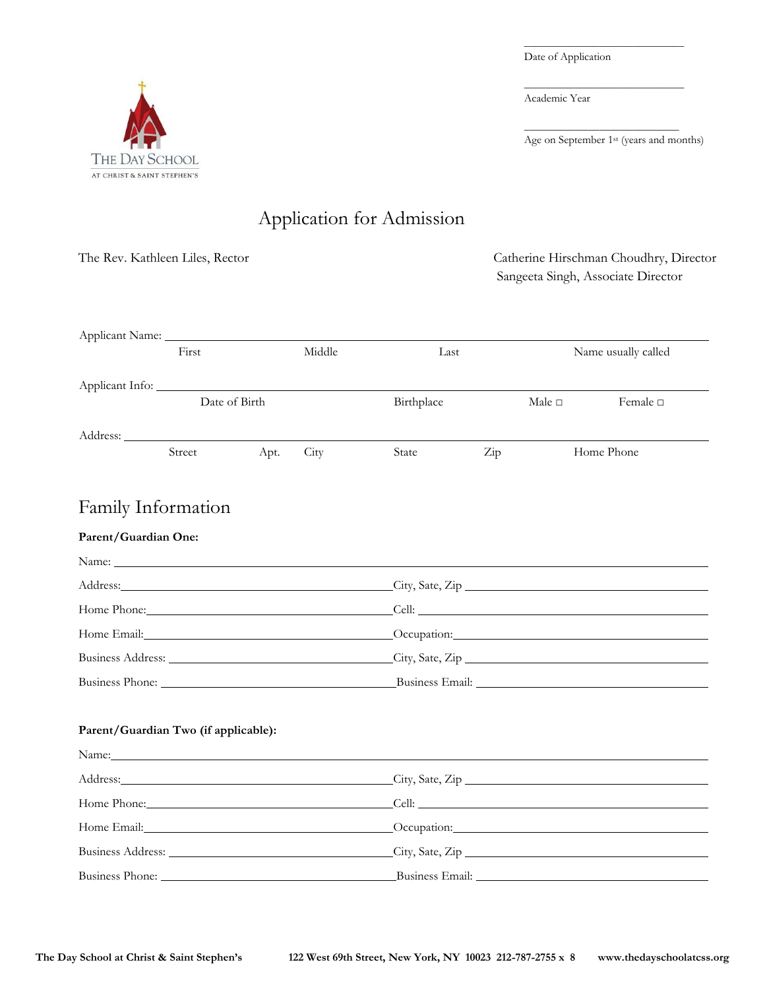Date of Application

Academic Year

Age on September 1<sup>st</sup> (years and months)

\_\_\_\_\_\_\_\_\_\_\_\_\_\_\_\_\_\_\_\_\_\_\_\_\_\_\_\_\_\_\_\_

\_\_\_\_\_\_\_\_\_\_\_\_\_\_\_\_\_\_\_\_\_\_\_\_\_\_\_\_\_\_\_\_

\_\_\_\_\_\_\_\_\_\_\_\_\_\_\_\_\_\_\_\_\_\_\_\_\_\_\_\_\_\_\_

Sangeeta Singh, Associate Director



# Application for Admission

Applicant Name:

| $\frac{1}{2}$   | First         |      | Middle | Name usually called<br>Last |     |                |                  |
|-----------------|---------------|------|--------|-----------------------------|-----|----------------|------------------|
| Applicant Info: |               |      |        |                             |     |                |                  |
|                 | Date of Birth |      |        | Birthplace                  |     | Male $\square$ | Female $\square$ |
| Address:        |               |      |        |                             |     |                |                  |
|                 | Street        | Apt. | City   | State                       | Zip | Home Phone     |                  |

The Rev. Kathleen Liles, Rector Catherine Hirschman Choudhry, Director

## Family Information

#### **Parent/Guardian One:**

| Address: City, Sate, Zip          |  |
|-----------------------------------|--|
|                                   |  |
|                                   |  |
| Business Address: City, Sate, Zip |  |
| Business Phone: Business Email:   |  |

#### **Parent/Guardian Two (if applicable):**

| Name: Name:                                                                                                                                                                                                                    |                                                                                                                                                                                                                                |
|--------------------------------------------------------------------------------------------------------------------------------------------------------------------------------------------------------------------------------|--------------------------------------------------------------------------------------------------------------------------------------------------------------------------------------------------------------------------------|
|                                                                                                                                                                                                                                | Address: City, Sate, Zip City, Sate, Zip City, Sate, Zip City, Sate, Zip City, Sate, Zip City, Sate, Zip City, Sate, Zip City, Sate, Zip City, Sate, Zip City, Sate, Zip City, Sate, Zip City, Sate, Zip City, Sate, Zip City, |
| Home Phone: Cell: Cell: Cell: Cell: Cell: Cell: Cell: Cell: Cell: Cell: Cell: Cell: Cell: Cell: Cell: Cell: Cell: Cell: Cell: Cell: Cell: Cell: Cell: Cell: Cell: Cell: Cell: Cell: Cell: Cell: Cell: Cell: Cell: Cell: Cell:  |                                                                                                                                                                                                                                |
|                                                                                                                                                                                                                                | Home Email: Cocupation: Cocupation: Cocupation:                                                                                                                                                                                |
|                                                                                                                                                                                                                                | Business Address: City, Sate, Zip                                                                                                                                                                                              |
| Business Phone: University of the Second Second Second Second Second Second Second Second Second Second Second Second Second Second Second Second Second Second Second Second Second Second Second Second Second Second Second |                                                                                                                                                                                                                                |